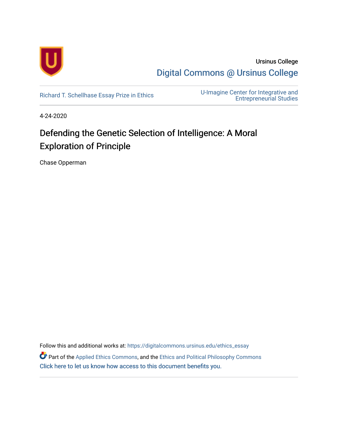

Ursinus College [Digital Commons @ Ursinus College](https://digitalcommons.ursinus.edu/) 

[Richard T. Schellhase Essay Prize in Ethics](https://digitalcommons.ursinus.edu/ethics_essay) U-Imagine Center for Integrative and [Entrepreneurial Studies](https://digitalcommons.ursinus.edu/uimagine) 

4-24-2020

# Defending the Genetic Selection of Intelligence: A Moral Exploration of Principle

Chase Opperman

Follow this and additional works at: [https://digitalcommons.ursinus.edu/ethics\\_essay](https://digitalcommons.ursinus.edu/ethics_essay?utm_source=digitalcommons.ursinus.edu%2Fethics_essay%2F19&utm_medium=PDF&utm_campaign=PDFCoverPages) 

Part of the [Applied Ethics Commons](http://network.bepress.com/hgg/discipline/1392?utm_source=digitalcommons.ursinus.edu%2Fethics_essay%2F19&utm_medium=PDF&utm_campaign=PDFCoverPages), and the [Ethics and Political Philosophy Commons](http://network.bepress.com/hgg/discipline/529?utm_source=digitalcommons.ursinus.edu%2Fethics_essay%2F19&utm_medium=PDF&utm_campaign=PDFCoverPages)  [Click here to let us know how access to this document benefits you.](https://ursinus.co1.qualtrics.com/jfe/form/SV_1RIyfqzdxsWfMQ5)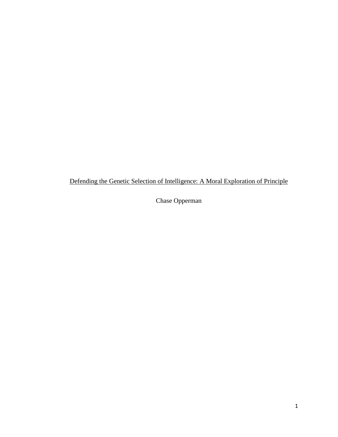Defending the Genetic Selection of Intelligence: A Moral Exploration of Principle

Chase Opperman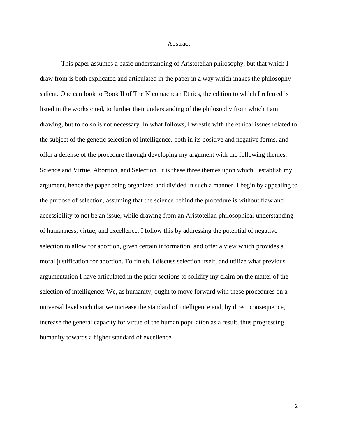#### **Abstract**

This paper assumes a basic understanding of Aristotelian philosophy, but that which I draw from is both explicated and articulated in the paper in a way which makes the philosophy salient. One can look to Book II of The Nicomachean Ethics, the edition to which I referred is listed in the works cited, to further their understanding of the philosophy from which I am drawing, but to do so is not necessary. In what follows, I wrestle with the ethical issues related to the subject of the genetic selection of intelligence, both in its positive and negative forms, and offer a defense of the procedure through developing my argument with the following themes: Science and Virtue, Abortion, and Selection. It is these three themes upon which I establish my argument, hence the paper being organized and divided in such a manner. I begin by appealing to the purpose of selection, assuming that the science behind the procedure is without flaw and accessibility to not be an issue, while drawing from an Aristotelian philosophical understanding of humanness, virtue, and excellence. I follow this by addressing the potential of negative selection to allow for abortion, given certain information, and offer a view which provides a moral justification for abortion. To finish, I discuss selection itself, and utilize what previous argumentation I have articulated in the prior sections to solidify my claim on the matter of the selection of intelligence: We, as humanity, ought to move forward with these procedures on a universal level such that we increase the standard of intelligence and, by direct consequence, increase the general capacity for virtue of the human population as a result, thus progressing humanity towards a higher standard of excellence.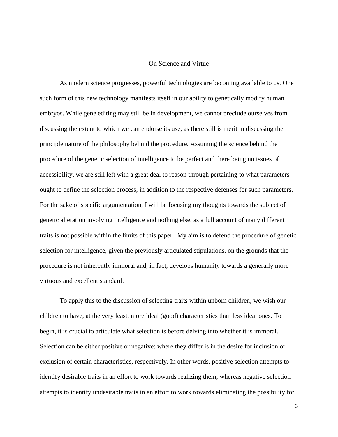#### On Science and Virtue

As modern science progresses, powerful technologies are becoming available to us. One such form of this new technology manifests itself in our ability to genetically modify human embryos. While gene editing may still be in development, we cannot preclude ourselves from discussing the extent to which we can endorse its use, as there still is merit in discussing the principle nature of the philosophy behind the procedure. Assuming the science behind the procedure of the genetic selection of intelligence to be perfect and there being no issues of accessibility, we are still left with a great deal to reason through pertaining to what parameters ought to define the selection process, in addition to the respective defenses for such parameters. For the sake of specific argumentation, I will be focusing my thoughts towards the subject of genetic alteration involving intelligence and nothing else, as a full account of many different traits is not possible within the limits of this paper. My aim is to defend the procedure of genetic selection for intelligence, given the previously articulated stipulations, on the grounds that the procedure is not inherently immoral and, in fact, develops humanity towards a generally more virtuous and excellent standard.

To apply this to the discussion of selecting traits within unborn children, we wish our children to have, at the very least, more ideal (good) characteristics than less ideal ones. To begin, it is crucial to articulate what selection is before delving into whether it is immoral. Selection can be either positive or negative: where they differ is in the desire for inclusion or exclusion of certain characteristics, respectively. In other words, positive selection attempts to identify desirable traits in an effort to work towards realizing them; whereas negative selection attempts to identify undesirable traits in an effort to work towards eliminating the possibility for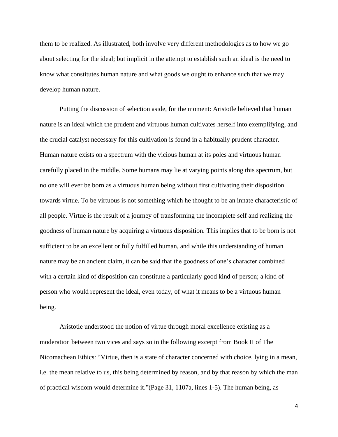them to be realized. As illustrated, both involve very different methodologies as to how we go about selecting for the ideal; but implicit in the attempt to establish such an ideal is the need to know what constitutes human nature and what goods we ought to enhance such that we may develop human nature.

Putting the discussion of selection aside, for the moment: Aristotle believed that human nature is an ideal which the prudent and virtuous human cultivates herself into exemplifying, and the crucial catalyst necessary for this cultivation is found in a habitually prudent character. Human nature exists on a spectrum with the vicious human at its poles and virtuous human carefully placed in the middle. Some humans may lie at varying points along this spectrum, but no one will ever be born as a virtuous human being without first cultivating their disposition towards virtue. To be virtuous is not something which he thought to be an innate characteristic of all people. Virtue is the result of a journey of transforming the incomplete self and realizing the goodness of human nature by acquiring a virtuous disposition. This implies that to be born is not sufficient to be an excellent or fully fulfilled human, and while this understanding of human nature may be an ancient claim, it can be said that the goodness of one's character combined with a certain kind of disposition can constitute a particularly good kind of person; a kind of person who would represent the ideal, even today, of what it means to be a virtuous human being.

Aristotle understood the notion of virtue through moral excellence existing as a moderation between two vices and says so in the following excerpt from Book II of The Nicomachean Ethics: "Virtue, then is a state of character concerned with choice, lying in a mean, i.e. the mean relative to us, this being determined by reason, and by that reason by which the man of practical wisdom would determine it."(Page 31, 1107a, lines 1-5). The human being, as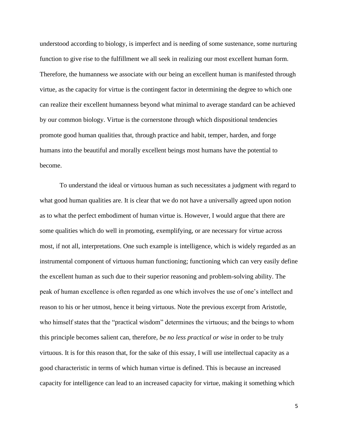understood according to biology, is imperfect and is needing of some sustenance, some nurturing function to give rise to the fulfillment we all seek in realizing our most excellent human form. Therefore, the humanness we associate with our being an excellent human is manifested through virtue, as the capacity for virtue is the contingent factor in determining the degree to which one can realize their excellent humanness beyond what minimal to average standard can be achieved by our common biology. Virtue is the cornerstone through which dispositional tendencies promote good human qualities that, through practice and habit, temper, harden, and forge humans into the beautiful and morally excellent beings most humans have the potential to become.

To understand the ideal or virtuous human as such necessitates a judgment with regard to what good human qualities are. It is clear that we do not have a universally agreed upon notion as to what the perfect embodiment of human virtue is. However, I would argue that there are some qualities which do well in promoting, exemplifying, or are necessary for virtue across most, if not all, interpretations. One such example is intelligence, which is widely regarded as an instrumental component of virtuous human functioning; functioning which can very easily define the excellent human as such due to their superior reasoning and problem-solving ability. The peak of human excellence is often regarded as one which involves the use of one's intellect and reason to his or her utmost, hence it being virtuous. Note the previous excerpt from Aristotle, who himself states that the "practical wisdom" determines the virtuous; and the beings to whom this principle becomes salient can, therefore, *be no less practical or wise* in order to be truly virtuous. It is for this reason that, for the sake of this essay, I will use intellectual capacity as a good characteristic in terms of which human virtue is defined. This is because an increased capacity for intelligence can lead to an increased capacity for virtue, making it something which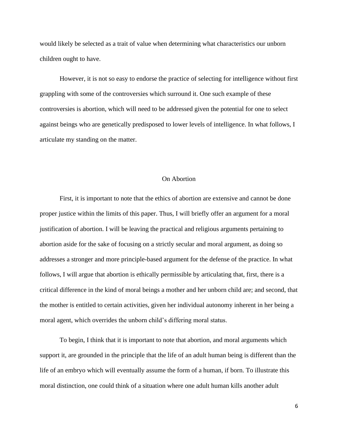would likely be selected as a trait of value when determining what characteristics our unborn children ought to have.

However, it is not so easy to endorse the practice of selecting for intelligence without first grappling with some of the controversies which surround it. One such example of these controversies is abortion, which will need to be addressed given the potential for one to select against beings who are genetically predisposed to lower levels of intelligence. In what follows, I articulate my standing on the matter.

### On Abortion

First, it is important to note that the ethics of abortion are extensive and cannot be done proper justice within the limits of this paper. Thus, I will briefly offer an argument for a moral justification of abortion. I will be leaving the practical and religious arguments pertaining to abortion aside for the sake of focusing on a strictly secular and moral argument, as doing so addresses a stronger and more principle-based argument for the defense of the practice. In what follows, I will argue that abortion is ethically permissible by articulating that, first, there is a critical difference in the kind of moral beings a mother and her unborn child are; and second, that the mother is entitled to certain activities, given her individual autonomy inherent in her being a moral agent, which overrides the unborn child's differing moral status.

To begin, I think that it is important to note that abortion, and moral arguments which support it, are grounded in the principle that the life of an adult human being is different than the life of an embryo which will eventually assume the form of a human, if born. To illustrate this moral distinction, one could think of a situation where one adult human kills another adult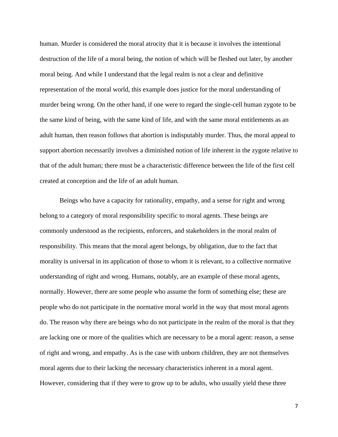human. Murder is considered the moral atrocity that it is because it involves the intentional destruction of the life of a moral being, the notion of which will be fleshed out later, by another moral being. And while I understand that the legal realm is not a clear and definitive representation of the moral world, this example does justice for the moral understanding of murder being wrong. On the other hand, if one were to regard the single-cell human zygote to be the same kind of being, with the same kind of life, and with the same moral entitlements as an adult human, then reason follows that abortion is indisputably murder. Thus, the moral appeal to support abortion necessarily involves a diminished notion of life inherent in the zygote relative to that of the adult human; there must be a characteristic difference between the life of the first cell created at conception and the life of an adult human.

Beings who have a capacity for rationality, empathy, and a sense for right and wrong belong to a category of moral responsibility specific to moral agents. These beings are commonly understood as the recipients, enforcers, and stakeholders in the moral realm of responsibility. This means that the moral agent belongs, by obligation, due to the fact that morality is universal in its application of those to whom it is relevant, to a collective normative understanding of right and wrong. Humans, notably, are an example of these moral agents, normally. However, there are some people who assume the form of something else; these are people who do not participate in the normative moral world in the way that most moral agents do. The reason why there are beings who do not participate in the realm of the moral is that they are lacking one or more of the qualities which are necessary to be a moral agent: reason, a sense of right and wrong, and empathy. As is the case with unborn children, they are not themselves moral agents due to their lacking the necessary characteristics inherent in a moral agent. However, considering that if they were to grow up to be adults, who usually yield these three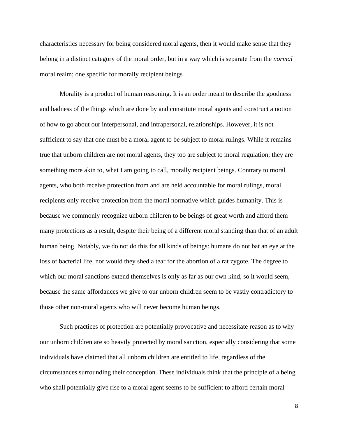characteristics necessary for being considered moral agents, then it would make sense that they belong in a distinct category of the moral order, but in a way which is separate from the *normal* moral realm; one specific for morally recipient beings

Morality is a product of human reasoning. It is an order meant to describe the goodness and badness of the things which are done by and constitute moral agents and construct a notion of how to go about our interpersonal, and intrapersonal, relationships. However, it is not sufficient to say that one must be a moral agent to be subject to moral rulings. While it remains true that unborn children are not moral agents, they too are subject to moral regulation; they are something more akin to, what I am going to call, morally recipient beings. Contrary to moral agents, who both receive protection from and are held accountable for moral rulings, moral recipients only receive protection from the moral normative which guides humanity. This is because we commonly recognize unborn children to be beings of great worth and afford them many protections as a result, despite their being of a different moral standing than that of an adult human being. Notably, we do not do this for all kinds of beings: humans do not bat an eye at the loss of bacterial life, nor would they shed a tear for the abortion of a rat zygote. The degree to which our moral sanctions extend themselves is only as far as our own kind, so it would seem, because the same affordances we give to our unborn children seem to be vastly contradictory to those other non-moral agents who will never become human beings.

Such practices of protection are potentially provocative and necessitate reason as to why our unborn children are so heavily protected by moral sanction, especially considering that some individuals have claimed that all unborn children are entitled to life, regardless of the circumstances surrounding their conception. These individuals think that the principle of a being who shall potentially give rise to a moral agent seems to be sufficient to afford certain moral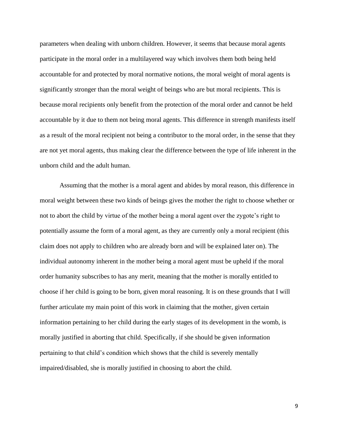parameters when dealing with unborn children. However, it seems that because moral agents participate in the moral order in a multilayered way which involves them both being held accountable for and protected by moral normative notions, the moral weight of moral agents is significantly stronger than the moral weight of beings who are but moral recipients. This is because moral recipients only benefit from the protection of the moral order and cannot be held accountable by it due to them not being moral agents. This difference in strength manifests itself as a result of the moral recipient not being a contributor to the moral order, in the sense that they are not yet moral agents, thus making clear the difference between the type of life inherent in the unborn child and the adult human.

Assuming that the mother is a moral agent and abides by moral reason, this difference in moral weight between these two kinds of beings gives the mother the right to choose whether or not to abort the child by virtue of the mother being a moral agent over the zygote's right to potentially assume the form of a moral agent, as they are currently only a moral recipient (this claim does not apply to children who are already born and will be explained later on). The individual autonomy inherent in the mother being a moral agent must be upheld if the moral order humanity subscribes to has any merit, meaning that the mother is morally entitled to choose if her child is going to be born, given moral reasoning. It is on these grounds that I will further articulate my main point of this work in claiming that the mother, given certain information pertaining to her child during the early stages of its development in the womb, is morally justified in aborting that child. Specifically, if she should be given information pertaining to that child's condition which shows that the child is severely mentally impaired/disabled, she is morally justified in choosing to abort the child.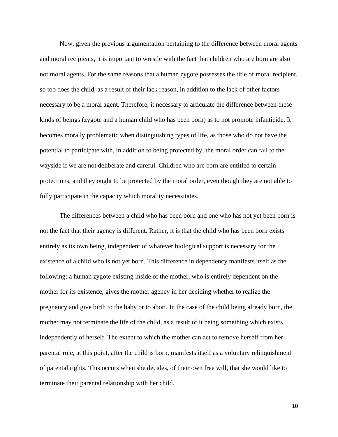Now, given the previous argumentation pertaining to the difference between moral agents and moral recipients, it is important to wrestle with the fact that children who are born are also not moral agents. For the same reasons that a human zygote possesses the title of moral recipient, so too does the child, as a result of their lack reason, in addition to the lack of other factors necessary to be a moral agent. Therefore, it necessary to articulate the difference between these kinds of beings (zygote and a human child who has been born) as to not promote infanticide. It becomes morally problematic when distinguishing types of life, as those who do not have the potential to participate with, in addition to being protected by, the moral order can fall to the wayside if we are not deliberate and careful. Children who are born are entitled to certain protections, and they ought to be protected by the moral order, even though they are not able to fully participate in the capacity which morality necessitates.

The differences between a child who has been born and one who has not yet been born is not the fact that their agency is different. Rather, it is that the child who has been born exists entirely as its own being, independent of whatever biological support is necessary for the existence of a child who is not yet born. This difference in dependency manifests itself as the following: a human zygote existing inside of the mother, who is entirely dependent on the mother for its existence, gives the mother agency in her deciding whether to realize the pregnancy and give birth to the baby or to abort. In the case of the child being already born, the mother may not terminate the life of the child, as a result of it being something which exists independently of herself. The extent to which the mother can act to remove herself from her parental role, at this point, after the child is born, manifests itself as a voluntary relinquishment of parental rights. This occurs when she decides, of their own free will, that she would like to terminate their parental relationship with her child.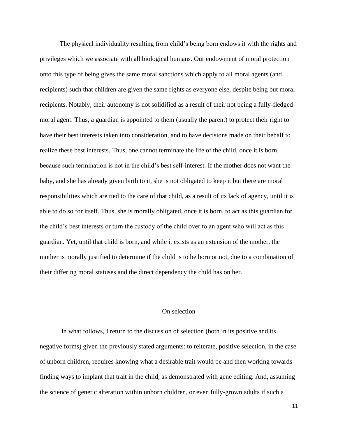The physical individuality resulting from child's being born endows it with the rights and privileges which we associate with all biological humans. Our endowment of moral protection onto this type of being gives the same moral sanctions which apply to all moral agents (and recipients) such that children are given the same rights as everyone else, despite being but moral recipients. Notably, their autonomy is not solidified as a result of their not being a fully-fledged moral agent. Thus, a guardian is appointed to them (usually the parent) to protect their right to have their best interests taken into consideration, and to have decisions made on their behalf to realize these best interests. Thus, one cannot terminate the life of the child, once it is born, because such termination is not in the child's best self-interest. If the mother does not want the baby, and she has already given birth to it, she is not obligated to keep it but there are moral responsibilities which are tied to the care of that child, as a result of its lack of agency, until it is able to do so for itself. Thus, she is morally obligated, once it is born, to act as this guardian for the child's best interests or turn the custody of the child over to an agent who will act as this guardian. Yet, until that child is born, and while it exists as an extension of the mother, the mother is morally justified to determine if the child is to be born or not, due to a combination of their differing moral statuses and the direct dependency the child has on her.

## On selection

In what follows, I return to the discussion of selection (both in its positive and its negative forms) given the previously stated arguments: to reiterate, positive selection, in the case of unborn children, requires knowing what a desirable trait would be and then working towards finding ways to implant that trait in the child, as demonstrated with gene editing. And, assuming the science of genetic alteration within unborn children, or even fully-grown adults if such a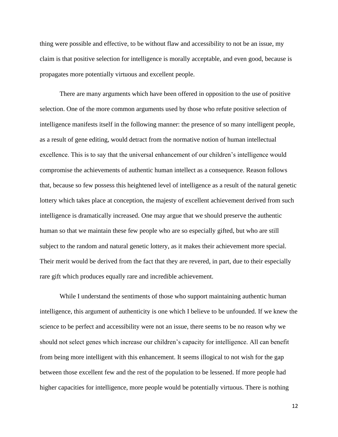thing were possible and effective, to be without flaw and accessibility to not be an issue, my claim is that positive selection for intelligence is morally acceptable, and even good, because is propagates more potentially virtuous and excellent people.

There are many arguments which have been offered in opposition to the use of positive selection. One of the more common arguments used by those who refute positive selection of intelligence manifests itself in the following manner: the presence of so many intelligent people, as a result of gene editing, would detract from the normative notion of human intellectual excellence. This is to say that the universal enhancement of our children's intelligence would compromise the achievements of authentic human intellect as a consequence. Reason follows that, because so few possess this heightened level of intelligence as a result of the natural genetic lottery which takes place at conception, the majesty of excellent achievement derived from such intelligence is dramatically increased. One may argue that we should preserve the authentic human so that we maintain these few people who are so especially gifted, but who are still subject to the random and natural genetic lottery, as it makes their achievement more special. Their merit would be derived from the fact that they are revered, in part, due to their especially rare gift which produces equally rare and incredible achievement.

While I understand the sentiments of those who support maintaining authentic human intelligence, this argument of authenticity is one which I believe to be unfounded. If we knew the science to be perfect and accessibility were not an issue, there seems to be no reason why we should not select genes which increase our children's capacity for intelligence. All can benefit from being more intelligent with this enhancement. It seems illogical to not wish for the gap between those excellent few and the rest of the population to be lessened. If more people had higher capacities for intelligence, more people would be potentially virtuous. There is nothing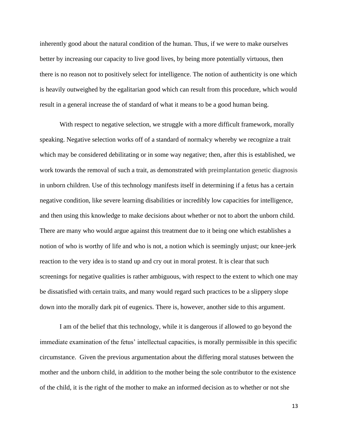inherently good about the natural condition of the human. Thus, if we were to make ourselves better by increasing our capacity to live good lives, by being more potentially virtuous, then there is no reason not to positively select for intelligence. The notion of authenticity is one which is heavily outweighed by the egalitarian good which can result from this procedure, which would result in a general increase the of standard of what it means to be a good human being.

With respect to negative selection, we struggle with a more difficult framework, morally speaking. Negative selection works off of a standard of normalcy whereby we recognize a trait which may be considered debilitating or in some way negative; then, after this is established, we work towards the removal of such a trait, as demonstrated with preimplantation genetic diagnosis in unborn children. Use of this technology manifests itself in determining if a fetus has a certain negative condition, like severe learning disabilities or incredibly low capacities for intelligence, and then using this knowledge to make decisions about whether or not to abort the unborn child. There are many who would argue against this treatment due to it being one which establishes a notion of who is worthy of life and who is not, a notion which is seemingly unjust; our knee-jerk reaction to the very idea is to stand up and cry out in moral protest. It is clear that such screenings for negative qualities is rather ambiguous, with respect to the extent to which one may be dissatisfied with certain traits, and many would regard such practices to be a slippery slope down into the morally dark pit of eugenics. There is, however, another side to this argument.

I am of the belief that this technology, while it is dangerous if allowed to go beyond the immediate examination of the fetus' intellectual capacities, is morally permissible in this specific circumstance. Given the previous argumentation about the differing moral statuses between the mother and the unborn child, in addition to the mother being the sole contributor to the existence of the child, it is the right of the mother to make an informed decision as to whether or not she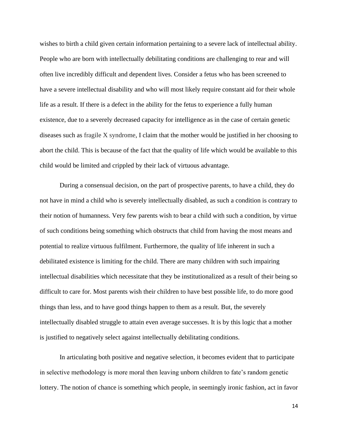wishes to birth a child given certain information pertaining to a severe lack of intellectual ability. People who are born with intellectually debilitating conditions are challenging to rear and will often live incredibly difficult and dependent lives. Consider a fetus who has been screened to have a severe intellectual disability and who will most likely require constant aid for their whole life as a result. If there is a defect in the ability for the fetus to experience a fully human existence, due to a severely decreased capacity for intelligence as in the case of certain genetic diseases such as fragile X syndrome, I claim that the mother would be justified in her choosing to abort the child. This is because of the fact that the quality of life which would be available to this child would be limited and crippled by their lack of virtuous advantage.

During a consensual decision, on the part of prospective parents, to have a child, they do not have in mind a child who is severely intellectually disabled, as such a condition is contrary to their notion of humanness. Very few parents wish to bear a child with such a condition, by virtue of such conditions being something which obstructs that child from having the most means and potential to realize virtuous fulfilment. Furthermore, the quality of life inherent in such a debilitated existence is limiting for the child. There are many children with such impairing intellectual disabilities which necessitate that they be institutionalized as a result of their being so difficult to care for. Most parents wish their children to have best possible life, to do more good things than less, and to have good things happen to them as a result. But, the severely intellectually disabled struggle to attain even average successes. It is by this logic that a mother is justified to negatively select against intellectually debilitating conditions.

In articulating both positive and negative selection, it becomes evident that to participate in selective methodology is more moral then leaving unborn children to fate's random genetic lottery. The notion of chance is something which people, in seemingly ironic fashion, act in favor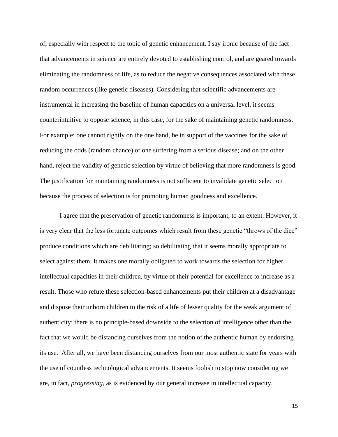of, especially with respect to the topic of genetic enhancement. I say ironic because of the fact that advancements in science are entirely devoted to establishing control, and are geared towards eliminating the randomness of life, as to reduce the negative consequences associated with these random occurrences (like genetic diseases). Considering that scientific advancements are instrumental in increasing the baseline of human capacities on a universal level, it seems counterintuitive to oppose science, in this case, for the sake of maintaining genetic randomness. For example: one cannot rightly on the one hand, be in support of the vaccines for the sake of reducing the odds (random chance) of one suffering from a serious disease; and on the other hand, reject the validity of genetic selection by virtue of believing that more randomness is good. The justification for maintaining randomness is not sufficient to invalidate genetic selection because the process of selection is for promoting human goodness and excellence.

I agree that the preservation of genetic randomness is important, to an extent. However, it is very clear that the less fortunate outcomes which result from these genetic "throws of the dice" produce conditions which are debilitating; so debilitating that it seems morally appropriate to select against them. It makes one morally obligated to work towards the selection for higher intellectual capacities in their children, by virtue of their potential for excellence to increase as a result. Those who refute these selection-based enhancements put their children at a disadvantage and dispose their unborn children to the risk of a life of lesser quality for the weak argument of authenticity; there is no principle-based downside to the selection of intelligence other than the fact that we would be distancing ourselves from the notion of the authentic human by endorsing its use. After all, we have been distancing ourselves from our most authentic state for years with the use of countless technological advancements. It seems foolish to stop now considering we are, in fact, *progressing*, as is evidenced by our general increase in intellectual capacity.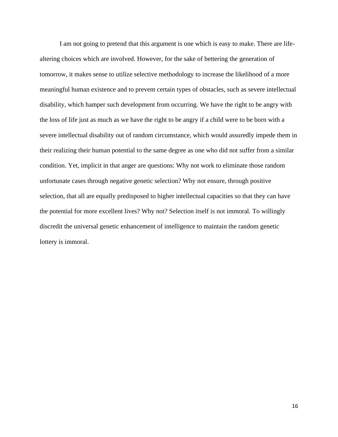I am not going to pretend that this argument is one which is easy to make. There are lifealtering choices which are involved. However, for the sake of bettering the generation of tomorrow, it makes sense to utilize selective methodology to increase the likelihood of a more meaningful human existence and to prevent certain types of obstacles, such as severe intellectual disability, which hamper such development from occurring. We have the right to be angry with the loss of life just as much as we have the right to be angry if a child were to be born with a severe intellectual disability out of random circumstance, which would assuredly impede them in their realizing their human potential to the same degree as one who did not suffer from a similar condition. Yet, implicit in that anger are questions: Why not work to eliminate those random unfortunate cases through negative genetic selection? Why not ensure, through positive selection, that all are equally predisposed to higher intellectual capacities so that they can have the potential for more excellent lives? Why not? Selection itself is not immoral. To willingly discredit the universal genetic enhancement of intelligence to maintain the random genetic lottery is immoral.